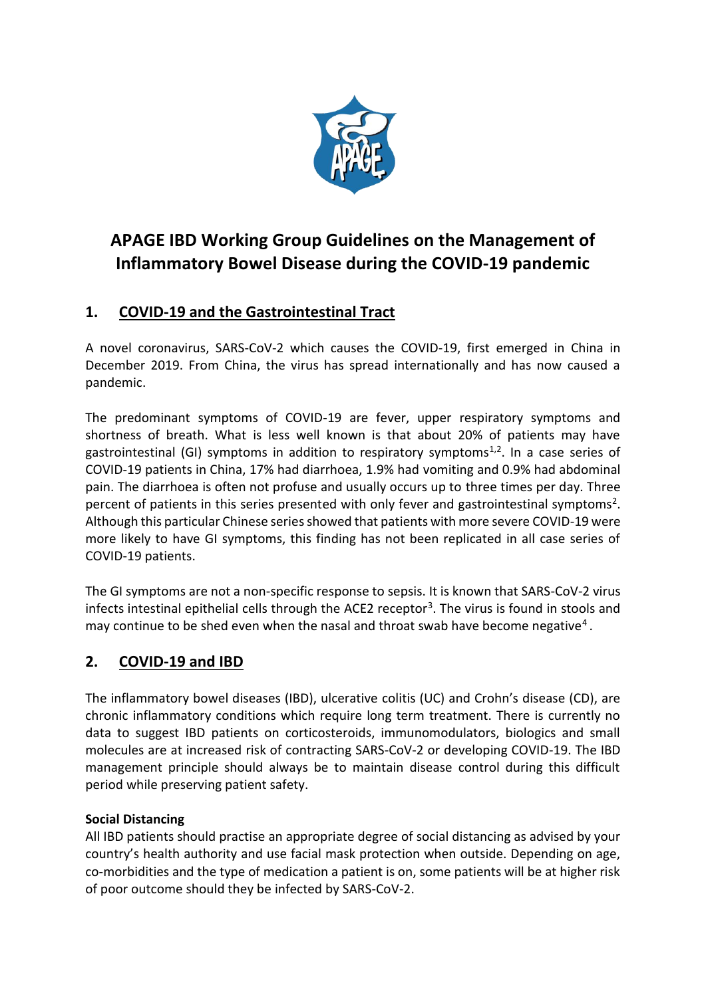

# **APAGE IBD Working Group Guidelines on the Management of Inflammatory Bowel Disease during the COVID-19 pandemic**

# **1. COVID-19 and the Gastrointestinal Tract**

A novel coronavirus, SARS-CoV-2 which causes the COVID-19, first emerged in China in December 2019. From China, the virus has spread internationally and has now caused a pandemic.

The predominant symptoms of COVID-19 are fever, upper respiratory symptoms and shortness of breath. What is less well known is that about 20% of patients may have gastrointestinal (GI) symptoms in addition to respiratory symptoms<sup>1,2</sup>. In a case series of COVID-19 patients in China, 17% had diarrhoea, 1.9% had vomiting and 0.9% had abdominal pain. The diarrhoea is often not profuse and usually occurs up to three times per day. Three percent of patients in this series presented with only fever and gastrointestinal symptoms<sup>2</sup>. Although this particular Chinese series showed that patients with more severe COVID-19 were more likely to have GI symptoms, this finding has not been replicated in all case series of COVID-19 patients.

The GI symptoms are not a non-specific response to sepsis. It is known that SARS-CoV-2 virus infects intestinal epithelial cells through the ACE2 receptor<sup>3</sup>. The virus is found in stools and may continue to be shed even when the nasal and throat swab have become negative<sup>4</sup>.

# **2. COVID-19 and IBD**

The inflammatory bowel diseases (IBD), ulcerative colitis (UC) and Crohn's disease (CD), are chronic inflammatory conditions which require long term treatment. There is currently no data to suggest IBD patients on corticosteroids, immunomodulators, biologics and small molecules are at increased risk of contracting SARS-CoV-2 or developing COVID-19. The IBD management principle should always be to maintain disease control during this difficult period while preserving patient safety.

#### **Social Distancing**

All IBD patients should practise an appropriate degree of social distancing as advised by your country's health authority and use facial mask protection when outside. Depending on age, co-morbidities and the type of medication a patient is on, some patients will be at higher risk of poor outcome should they be infected by SARS-CoV-2.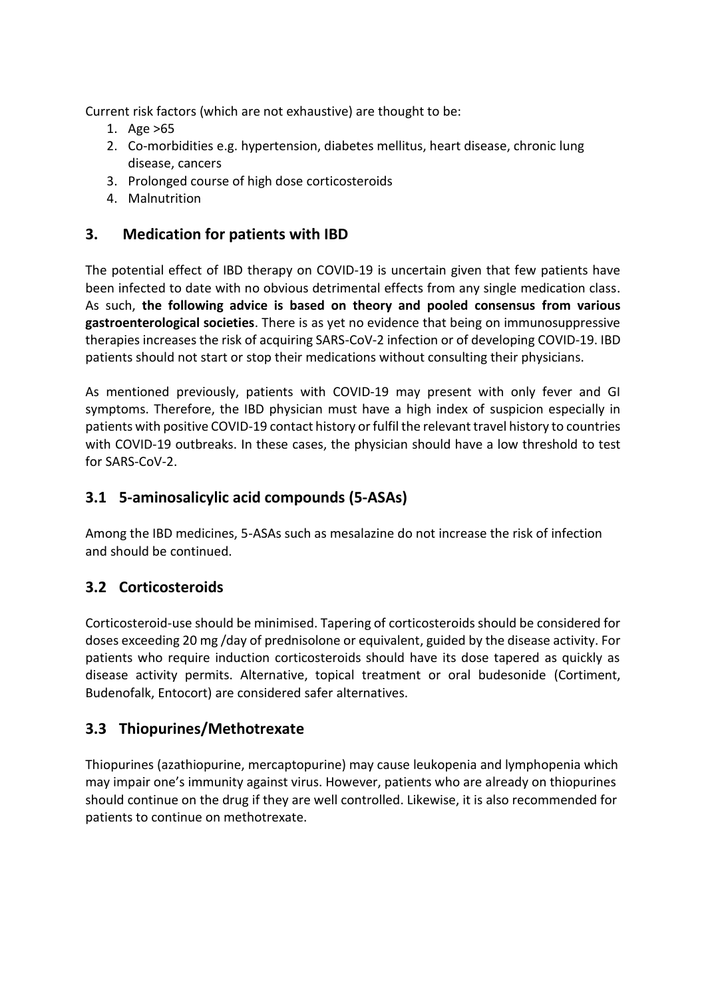Current risk factors (which are not exhaustive) are thought to be:

- 1. Age >65
- 2. Co-morbidities e.g. hypertension, diabetes mellitus, heart disease, chronic lung disease, cancers
- 3. Prolonged course of high dose corticosteroids
- 4. Malnutrition

### **3. Medication for patients with IBD**

The potential effect of IBD therapy on COVID-19 is uncertain given that few patients have been infected to date with no obvious detrimental effects from any single medication class. As such, **the following advice is based on theory and pooled consensus from various gastroenterological societies**. There is as yet no evidence that being on immunosuppressive therapies increases the risk of acquiring SARS-CoV-2 infection or of developing COVID-19. IBD patients should not start or stop their medications without consulting their physicians.

As mentioned previously, patients with COVID-19 may present with only fever and GI symptoms. Therefore, the IBD physician must have a high index of suspicion especially in patients with positive COVID-19 contact history or fulfil the relevant travel history to countries with COVID-19 outbreaks. In these cases, the physician should have a low threshold to test for SARS-CoV-2.

## **3.1 5-aminosalicylic acid compounds (5-ASAs)**

Among the IBD medicines, 5-ASAs such as mesalazine do not increase the risk of infection and should be continued.

# **3.2 Corticosteroids**

Corticosteroid-use should be minimised. Tapering of corticosteroids should be considered for doses exceeding 20 mg /day of prednisolone or equivalent, guided by the disease activity. For patients who require induction corticosteroids should have its dose tapered as quickly as disease activity permits. Alternative, topical treatment or oral budesonide (Cortiment, Budenofalk, Entocort) are considered safer alternatives.

### **3.3 Thiopurines/Methotrexate**

Thiopurines (azathiopurine, mercaptopurine) may cause leukopenia and lymphopenia which may impair one's immunity against virus. However, patients who are already on thiopurines should continue on the drug if they are well controlled. Likewise, it is also recommended for patients to continue on methotrexate.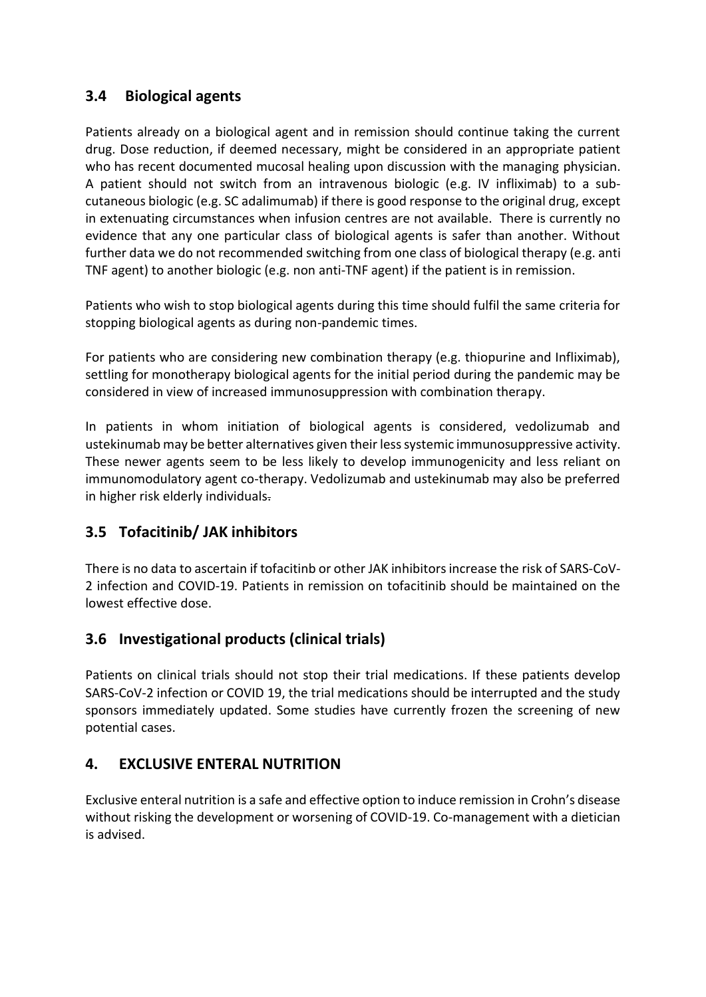### **3.4 Biological agents**

Patients already on a biological agent and in remission should continue taking the current drug. Dose reduction, if deemed necessary, might be considered in an appropriate patient who has recent documented mucosal healing upon discussion with the managing physician. A patient should not switch from an intravenous biologic (e.g. IV infliximab) to a subcutaneous biologic (e.g. SC adalimumab) if there is good response to the original drug, except in extenuating circumstances when infusion centres are not available. There is currently no evidence that any one particular class of biological agents is safer than another. Without further data we do not recommended switching from one class of biological therapy (e.g. anti TNF agent) to another biologic (e.g. non anti-TNF agent) if the patient is in remission.

Patients who wish to stop biological agents during this time should fulfil the same criteria for stopping biological agents as during non-pandemic times.

For patients who are considering new combination therapy (e.g. thiopurine and Infliximab), settling for monotherapy biological agents for the initial period during the pandemic may be considered in view of increased immunosuppression with combination therapy.

In patients in whom initiation of biological agents is considered, vedolizumab and ustekinumab may be better alternatives given their less systemic immunosuppressive activity. These newer agents seem to be less likely to develop immunogenicity and less reliant on immunomodulatory agent co-therapy. Vedolizumab and ustekinumab may also be preferred in higher risk elderly individuals.

# **3.5 Tofacitinib/ JAK inhibitors**

There is no data to ascertain if tofacitinb or other JAK inhibitors increase the risk of SARS-CoV-2 infection and COVID-19. Patients in remission on tofacitinib should be maintained on the lowest effective dose.

# **3.6 Investigational products (clinical trials)**

Patients on clinical trials should not stop their trial medications. If these patients develop SARS-CoV-2 infection or COVID 19, the trial medications should be interrupted and the study sponsors immediately updated. Some studies have currently frozen the screening of new potential cases.

# **4. EXCLUSIVE ENTERAL NUTRITION**

Exclusive enteral nutrition is a safe and effective option to induce remission in Crohn's disease without risking the development or worsening of COVID-19. Co-management with a dietician is advised.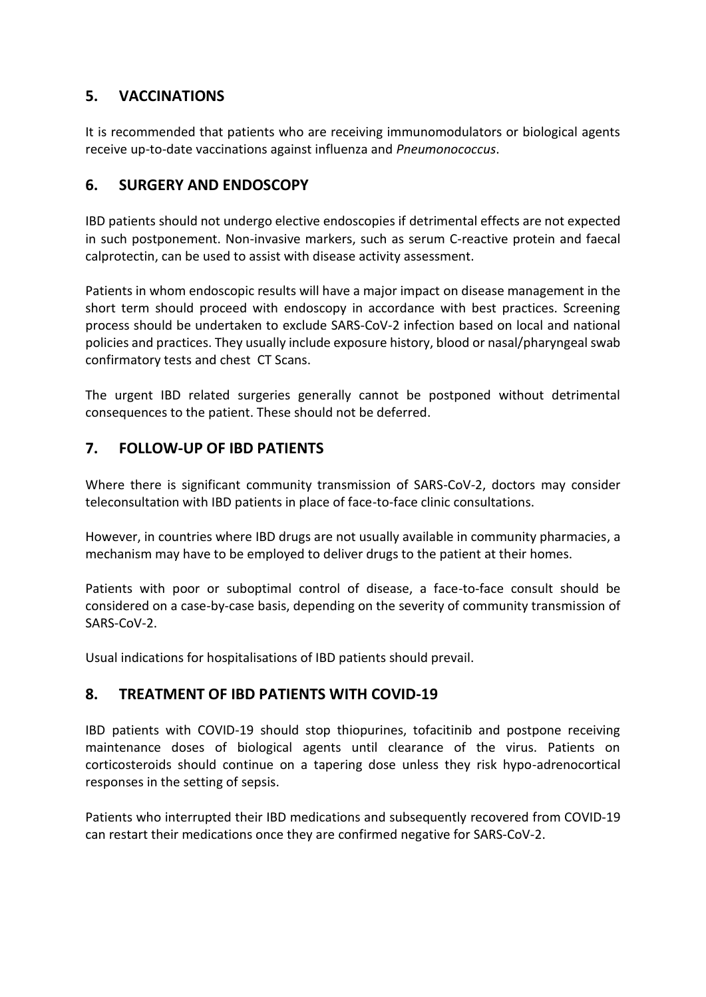### **5. VACCINATIONS**

It is recommended that patients who are receiving immunomodulators or biological agents receive up-to-date vaccinations against influenza and *Pneumonococcus*.

#### **6. SURGERY AND ENDOSCOPY**

IBD patients should not undergo elective endoscopies if detrimental effects are not expected in such postponement. Non-invasive markers, such as serum C-reactive protein and faecal calprotectin, can be used to assist with disease activity assessment.

Patients in whom endoscopic results will have a major impact on disease management in the short term should proceed with endoscopy in accordance with best practices. Screening process should be undertaken to exclude SARS-CoV-2 infection based on local and national policies and practices. They usually include exposure history, blood or nasal/pharyngeal swab confirmatory tests and chest CT Scans.

The urgent IBD related surgeries generally cannot be postponed without detrimental consequences to the patient. These should not be deferred.

### **7. FOLLOW-UP OF IBD PATIENTS**

Where there is significant community transmission of SARS-CoV-2, doctors may consider teleconsultation with IBD patients in place of face-to-face clinic consultations.

However, in countries where IBD drugs are not usually available in community pharmacies, a mechanism may have to be employed to deliver drugs to the patient at their homes.

Patients with poor or suboptimal control of disease, a face-to-face consult should be considered on a case-by-case basis, depending on the severity of community transmission of SARS-CoV-2.

Usual indications for hospitalisations of IBD patients should prevail.

#### **8. TREATMENT OF IBD PATIENTS WITH COVID-19**

IBD patients with COVID-19 should stop thiopurines, tofacitinib and postpone receiving maintenance doses of biological agents until clearance of the virus. Patients on corticosteroids should continue on a tapering dose unless they risk hypo-adrenocortical responses in the setting of sepsis.

Patients who interrupted their IBD medications and subsequently recovered from COVID-19 can restart their medications once they are confirmed negative for SARS-CoV-2.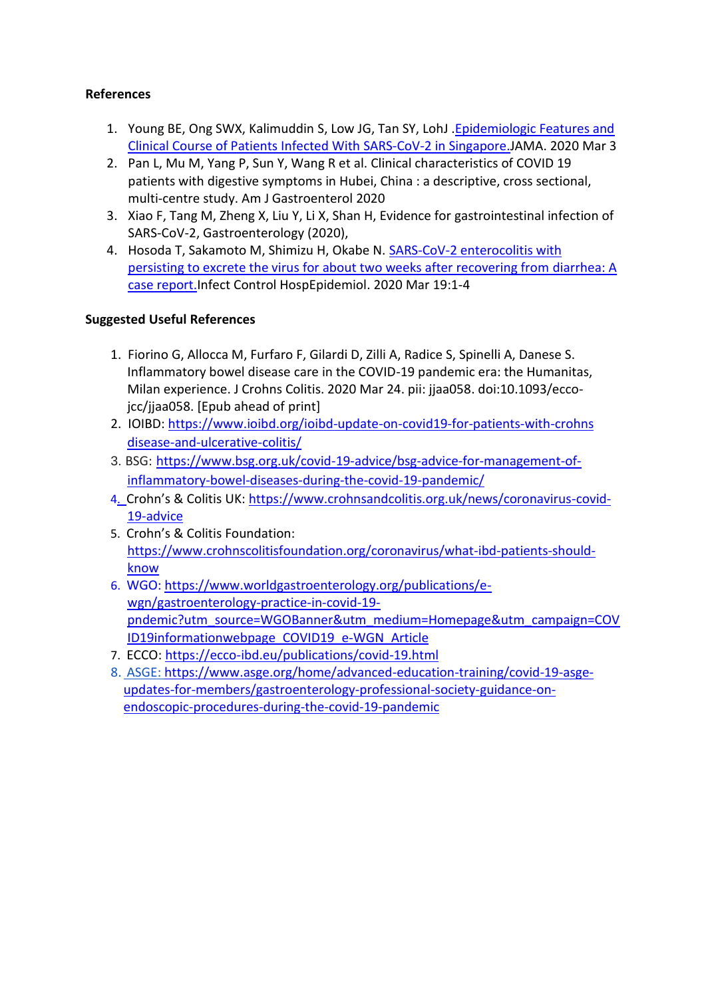#### **References**

- 1. Young BE, Ong SWX, Kalimuddin S, Low JG, Tan SY, LohJ [.Epidemiologic Features and](about:blank)  [Clinical Course of Patients Infected With](about:blank) SARS-CoV-2 in Singapore.JAMA. 2020 Mar 3
- 2. Pan L, Mu M, Yang P, Sun Y, Wang R et al. Clinical characteristics of COVID 19 patients with digestive symptoms in Hubei, China : a descriptive, cross sectional, multi-centre study. Am J Gastroenterol 2020
- 3. Xiao F, Tang M, Zheng X, Liu Y, Li X, Shan H, Evidence for gastrointestinal infection of SARS-CoV-2, Gastroenterology (2020),
- 4. Hosoda T, Sakamoto M, Shimizu H, Okabe N. SARS-CoV-2 [enterocolitis with](about:blank)  [persisting to excrete the virus for about two weeks after recovering from](about:blank) diarrhea: A [case report.I](about:blank)nfect Control HospEpidemiol. 2020 Mar 19:1-4

#### **Suggested Useful References**

- 1. Fiorino G, Allocca M, Furfaro F, Gilardi D, Zilli A, Radice S, Spinelli A, Danese S. Inflammatory bowel disease care in the COVID-19 pandemic era: the Humanitas, Milan experience. J Crohns Colitis. 2020 Mar 24. pii: jjaa058. doi:10.1093/eccojcc/jjaa058. [Epub ahead of print]
- 2. IOIBD[: https://www.ioibd.org/ioibd-update-on-covid19-for-patients-with-crohns](https://www.ioibd.org/ioibd-update-on-covid19-for-patients-with-crohns%20disease-and-ulcerative-colitis/)  [disease-and-ulcerative-colitis/](https://www.ioibd.org/ioibd-update-on-covid19-for-patients-with-crohns%20disease-and-ulcerative-colitis/)
- 3. BSG: [https://www.bsg.org.uk/covid-19-advice/bsg-advice-for-management-of](https://www.bsg.org.uk/covid-19-advice/bsg-advice-for-management-of-inflammatory-bowel-diseases-during-the-covid-19-pandemic/)[inflammatory-bowel-diseases-during-the-covid-19-pandemic/](https://www.bsg.org.uk/covid-19-advice/bsg-advice-for-management-of-inflammatory-bowel-diseases-during-the-covid-19-pandemic/)
- 4. Crohn's & Colitis UK: [https://www.crohnsandcolitis.org.uk/news/coronavirus-covid-](about:blank)[19-advice](about:blank)
- 5. Crohn's & Colitis Foundation: [https://www.crohnscolitisfoundation.org/coronavirus/what-ibd-patients-should](https://www.crohnscolitisfoundation.org/coronavirus/what-ibd-patients-should-know)[know](https://www.crohnscolitisfoundation.org/coronavirus/what-ibd-patients-should-know)
- 6. WGO: [https://www.worldgastroenterology.org/publications/e](https://www.worldgastroenterology.org/publications/e-wgn/gastroenterology-practice-in-covid-19-pndemic?utm_source=WGOBanner&utm_medium=Homepage&utm_campaign=COVID19informationwebpage_COVID19_e-WGN_Article)[wgn/gastroenterology-practice-in-covid-19](https://www.worldgastroenterology.org/publications/e-wgn/gastroenterology-practice-in-covid-19-pndemic?utm_source=WGOBanner&utm_medium=Homepage&utm_campaign=COVID19informationwebpage_COVID19_e-WGN_Article) [pndemic?utm\\_source=WGOBanner&utm\\_medium=Homepage&utm\\_campaign=COV](https://www.worldgastroenterology.org/publications/e-wgn/gastroenterology-practice-in-covid-19-pndemic?utm_source=WGOBanner&utm_medium=Homepage&utm_campaign=COVID19informationwebpage_COVID19_e-WGN_Article) [ID19informationwebpage\\_COVID19\\_e-WGN\\_Article](https://www.worldgastroenterology.org/publications/e-wgn/gastroenterology-practice-in-covid-19-pndemic?utm_source=WGOBanner&utm_medium=Homepage&utm_campaign=COVID19informationwebpage_COVID19_e-WGN_Article)
- 7. ECCO:<https://ecco-ibd.eu/publications/covid-19.html>
- 8. ASGE[: https://www.asge.org/home/advanced-education-training/covid-19-asge](https://www.asge.org/home/advanced-education-training/covid-19-asge-updates-for-members/gastroenterology-professional-society-guidance-on-endoscopic-procedures-during-the-covid-19-pandemic)[updates-for-members/gastroenterology-professional-society-guidance-on](https://www.asge.org/home/advanced-education-training/covid-19-asge-updates-for-members/gastroenterology-professional-society-guidance-on-endoscopic-procedures-during-the-covid-19-pandemic)[endoscopic-procedures-during-the-covid-19-pandemic](https://www.asge.org/home/advanced-education-training/covid-19-asge-updates-for-members/gastroenterology-professional-society-guidance-on-endoscopic-procedures-during-the-covid-19-pandemic)